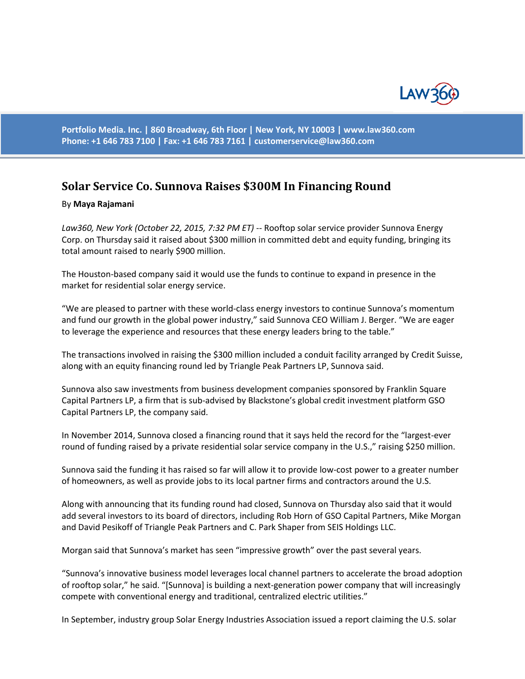

**Portfolio Media. Inc. | 860 Broadway, 6th Floor | New York, NY 10003 | www.law360.com Phone: +1 646 783 7100 | Fax: +1 646 783 7161 | [customerservice@law360.com](mailto:customerservice@law360.com)**

## **Solar Service Co. Sunnova Raises \$300M In Financing Round**

## By **Maya Rajamani**

*Law360, New York (October 22, 2015, 7:32 PM ET)* -- Rooftop solar service provider Sunnova Energy Corp. on Thursday said it raised about \$300 million in committed debt and equity funding, bringing its total amount raised to nearly \$900 million.

The Houston-based company said it would use the funds to continue to expand in presence in the market for residential solar energy service.

"We are pleased to partner with these world-class energy investors to continue Sunnova's momentum and fund our growth in the global power industry," said Sunnova CEO William J. Berger. "We are eager to leverage the experience and resources that these energy leaders bring to the table."

The transactions involved in raising the \$300 million included a conduit facility arranged by Credit Suisse, along with an equity financing round led by Triangle Peak Partners LP, Sunnova said.

Sunnova also saw investments from business development companies sponsored by Franklin Square Capital Partners LP, a firm that is sub-advised by Blackstone's global credit investment platform GSO Capital Partners LP, the company said.

In November 2014, Sunnova closed a financing round that it says held the record for the "largest-ever round of funding raised by a private residential solar service company in the U.S.," raising \$250 million.

Sunnova said the funding it has raised so far will allow it to provide low-cost power to a greater number of homeowners, as well as provide jobs to its local partner firms and contractors around the U.S.

Along with announcing that its funding round had closed, Sunnova on Thursday also said that it would add several investors to its board of directors, including Rob Horn of GSO Capital Partners, Mike Morgan and David Pesikoff of Triangle Peak Partners and C. Park Shaper from SEIS Holdings LLC.

Morgan said that Sunnova's market has seen "impressive growth" over the past several years.

"Sunnova's innovative business model leverages local channel partners to accelerate the broad adoption of rooftop solar," he said. "[Sunnova] is building a next-generation power company that will increasingly compete with conventional energy and traditional, centralized electric utilities."

In September, industry group Solar Energy Industries Association issued a report claiming the U.S. solar